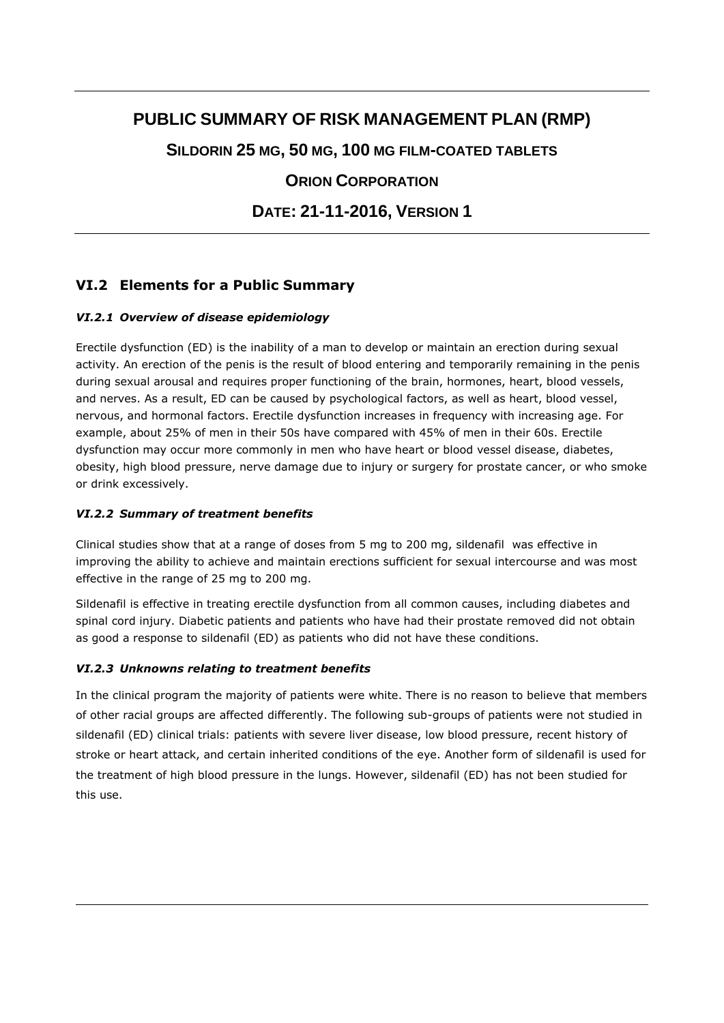# **PUBLIC SUMMARY OF RISK MANAGEMENT PLAN (RMP)**

**SILDORIN 25 MG, 50 MG, 100 MG FILM-COATED TABLETS**

**ORION CORPORATION**

**DATE: 21-11-2016, VERSION 1**

## **VI.2 Elements for a Public Summary**

## *VI.2.1 Overview of disease epidemiology*

Erectile dysfunction (ED) is the inability of a man to develop or maintain an erection during sexual activity. An erection of the penis is the result of blood entering and temporarily remaining in the penis during sexual arousal and requires proper functioning of the brain, hormones, heart, blood vessels, and nerves. As a result, ED can be caused by psychological factors, as well as heart, blood vessel, nervous, and hormonal factors. Erectile dysfunction increases in frequency with increasing age. For example, about 25% of men in their 50s have compared with 45% of men in their 60s. Erectile dysfunction may occur more commonly in men who have heart or blood vessel disease, diabetes, obesity, high blood pressure, nerve damage due to injury or surgery for prostate cancer, or who smoke or drink excessively.

### *VI.2.2 Summary of treatment benefits*

Clinical studies show that at a range of doses from 5 mg to 200 mg, sildenafil was effective in improving the ability to achieve and maintain erections sufficient for sexual intercourse and was most effective in the range of 25 mg to 200 mg.

Sildenafil is effective in treating erectile dysfunction from all common causes, including diabetes and spinal cord injury. Diabetic patients and patients who have had their prostate removed did not obtain as good a response to sildenafil (ED) as patients who did not have these conditions.

## *VI.2.3 Unknowns relating to treatment benefits*

In the clinical program the majority of patients were white. There is no reason to believe that members of other racial groups are affected differently. The following sub-groups of patients were not studied in sildenafil (ED) clinical trials: patients with severe liver disease, low blood pressure, recent history of stroke or heart attack, and certain inherited conditions of the eye. Another form of sildenafil is used for the treatment of high blood pressure in the lungs. However, sildenafil (ED) has not been studied for this use.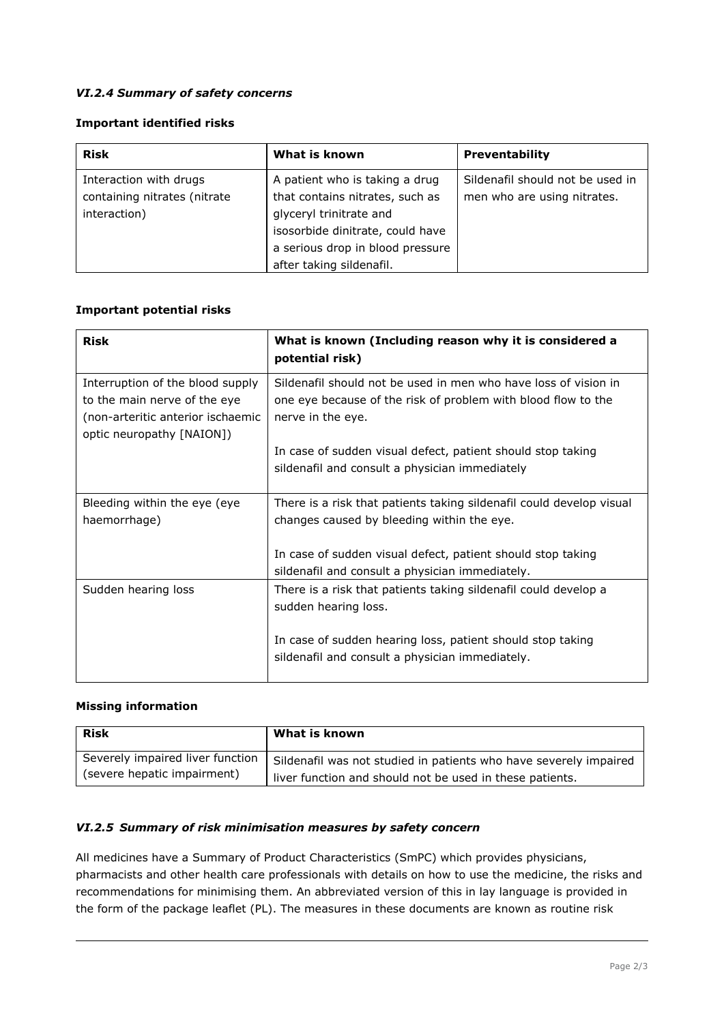#### *VI.2.4 Summary of safety concerns*

#### **Important identified risks**

| <b>Risk</b>                  | What is known                    | <b>Preventability</b>            |
|------------------------------|----------------------------------|----------------------------------|
| Interaction with drugs       | A patient who is taking a drug   | Sildenafil should not be used in |
| containing nitrates (nitrate | that contains nitrates, such as  | men who are using nitrates.      |
| interaction)                 | glyceryl trinitrate and          |                                  |
|                              | isosorbide dinitrate, could have |                                  |
|                              | a serious drop in blood pressure |                                  |
|                              | after taking sildenafil.         |                                  |

#### **Important potential risks**

| <b>Risk</b>                                                                                                                        | What is known (Including reason why it is considered a<br>potential risk)                                                                             |
|------------------------------------------------------------------------------------------------------------------------------------|-------------------------------------------------------------------------------------------------------------------------------------------------------|
| Interruption of the blood supply<br>to the main nerve of the eye<br>(non-arteritic anterior ischaemic<br>optic neuropathy [NAION]) | Sildenafil should not be used in men who have loss of vision in<br>one eye because of the risk of problem with blood flow to the<br>nerve in the eye. |
|                                                                                                                                    | In case of sudden visual defect, patient should stop taking<br>sildenafil and consult a physician immediately                                         |
| Bleeding within the eye (eye<br>haemorrhage)                                                                                       | There is a risk that patients taking sildenafil could develop visual<br>changes caused by bleeding within the eye.                                    |
|                                                                                                                                    | In case of sudden visual defect, patient should stop taking<br>sildenafil and consult a physician immediately.                                        |
| Sudden hearing loss                                                                                                                | There is a risk that patients taking sildenafil could develop a<br>sudden hearing loss.                                                               |
|                                                                                                                                    | In case of sudden hearing loss, patient should stop taking<br>sildenafil and consult a physician immediately.                                         |

#### **Missing information**

| <b>Risk</b>                      | What is known                                                     |
|----------------------------------|-------------------------------------------------------------------|
| Severely impaired liver function | Sildenafil was not studied in patients who have severely impaired |
| (severe hepatic impairment)      | liver function and should not be used in these patients.          |

#### *VI.2.5 Summary of risk minimisation measures by safety concern*

All medicines have a Summary of Product Characteristics (SmPC) which provides physicians, pharmacists and other health care professionals with details on how to use the medicine, the risks and recommendations for minimising them. An abbreviated version of this in lay language is provided in the form of the package leaflet (PL). The measures in these documents are known as routine risk